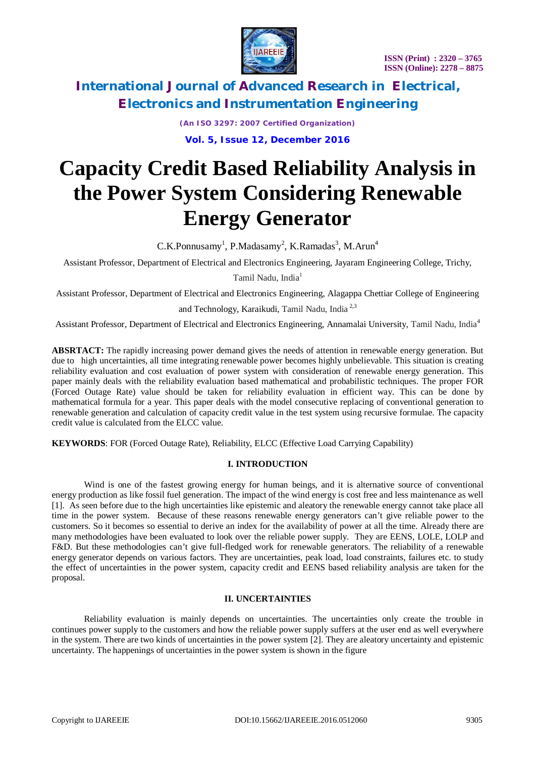



> *(An ISO 3297: 2007 Certified Organization)* **Vol. 5, Issue 12, December 2016**

# **Capacity Credit Based Reliability Analysis in the Power System Considering Renewable Energy Generator**

 $C.K.Ponnusamy<sup>1</sup>, P.Madasamy<sup>2</sup>, K.Ramadas<sup>3</sup>, M.Arun<sup>4</sup>$ 

Assistant Professor, Department of Electrical and Electronics Engineering, Jayaram Engineering College, Trichy,

Tamil Nadu, India<sup>1</sup>

Assistant Professor, Department of Electrical and Electronics Engineering, Alagappa Chettiar College of Engineering

and Technology, Karaikudi, Tamil Nadu, India 2,3

Assistant Professor, Department of Electrical and Electronics Engineering, Annamalai University, Tamil Nadu, India<sup>4</sup>

**ABSRTACT:** The rapidly increasing power demand gives the needs of attention in renewable energy generation. But due to high uncertainties, all time integrating renewable power becomes highly unbelievable. This situation is creating reliability evaluation and cost evaluation of power system with consideration of renewable energy generation. This paper mainly deals with the reliability evaluation based mathematical and probabilistic techniques. The proper FOR (Forced Outage Rate) value should be taken for reliability evaluation in efficient way. This can be done by mathematical formula for a year. This paper deals with the model consecutive replacing of conventional generation to renewable generation and calculation of capacity credit value in the test system using recursive formulae. The capacity credit value is calculated from the ELCC value.

**KEYWORDS**: FOR (Forced Outage Rate), Reliability, ELCC (Effective Load Carrying Capability)

### **I. INTRODUCTION**

Wind is one of the fastest growing energy for human beings, and it is alternative source of conventional energy production as like fossil fuel generation. The impact of the wind energy is cost free and less maintenance as well [1]. As seen before due to the high uncertainties like epistemic and aleatory the renewable energy cannot take place all time in the power system. Because of these reasons renewable energy generators can't give reliable power to the customers. So it becomes so essential to derive an index for the availability of power at all the time. Already there are many methodologies have been evaluated to look over the reliable power supply. They are EENS, LOLE, LOLP and F&D. But these methodologies can't give full-fledged work for renewable generators. The reliability of a renewable energy generator depends on various factors. They are uncertainties, peak load, load constraints, failures etc. to study the effect of uncertainties in the power system, capacity credit and EENS based reliability analysis are taken for the proposal.

### **II. UNCERTAINTIES**

Reliability evaluation is mainly depends on uncertainties. The uncertainties only create the trouble in continues power supply to the customers and how the reliable power supply suffers at the user end as well everywhere in the system. There are two kinds of uncertainties in the power system [2]. They are aleatory uncertainty and epistemic uncertainty. The happenings of uncertainties in the power system is shown in the figure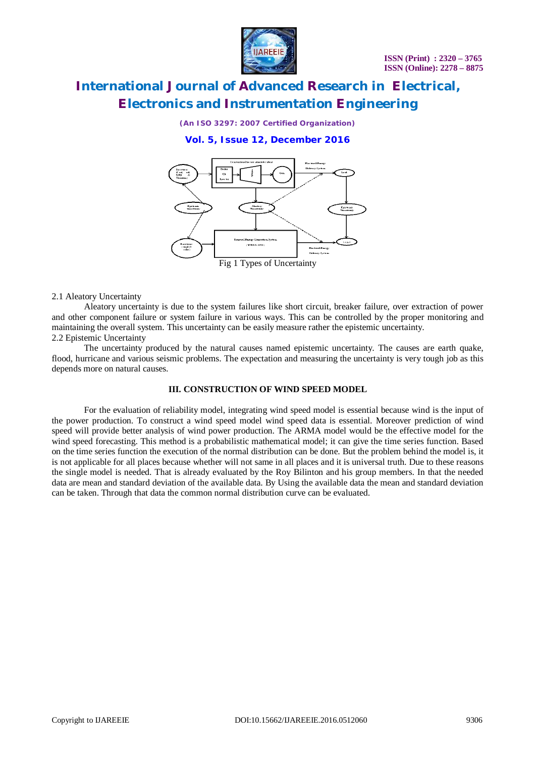

*(An ISO 3297: 2007 Certified Organization)*

**Vol. 5, Issue 12, December 2016**



#### 2.1 Aleatory Uncertainty

Aleatory uncertainty is due to the system failures like short circuit, breaker failure, over extraction of power and other component failure or system failure in various ways. This can be controlled by the proper monitoring and maintaining the overall system. This uncertainty can be easily measure rather the epistemic uncertainty. 2.2 Epistemic Uncertainty

The uncertainty produced by the natural causes named epistemic uncertainty. The causes are earth quake, flood, hurricane and various seismic problems. The expectation and measuring the uncertainty is very tough job as this depends more on natural causes.

### **III. CONSTRUCTION OF WIND SPEED MODEL**

For the evaluation of reliability model, integrating wind speed model is essential because wind is the input of the power production. To construct a wind speed model wind speed data is essential. Moreover prediction of wind speed will provide better analysis of wind power production. The ARMA model would be the effective model for the wind speed forecasting. This method is a probabilistic mathematical model; it can give the time series function. Based on the time series function the execution of the normal distribution can be done. But the problem behind the model is, it is not applicable for all places because whether will not same in all places and it is universal truth. Due to these reasons the single model is needed. That is already evaluated by the Roy Bilinton and his group members. In that the needed data are mean and standard deviation of the available data. By Using the available data the mean and standard deviation can be taken. Through that data the common normal distribution curve can be evaluated.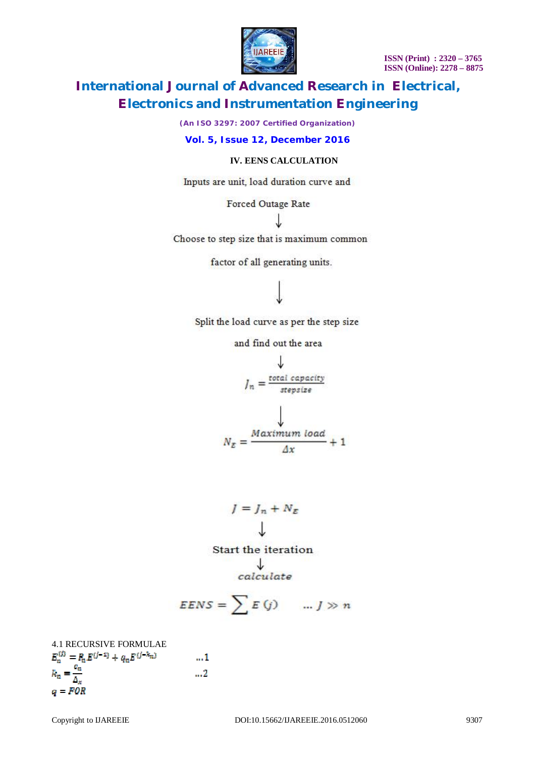**ISSN (Print) : 2320 – 3765 ISSN (Online): 2278 – 8875**



# **International Journal of Advanced Research in Electrical, Electronics and Instrumentation Engineering**

*(An ISO 3297: 2007 Certified Organization)*

### **Vol. 5, Issue 12, December 2016**

### **IV. EENS CALCULATION**

Inputs are unit, load duration curve and

Forced Outage Rate

J

Choose to step size that is maximum common

factor of all generating units.

## Split the load curve as per the step size

and find out the area

$$
J_n = \frac{\frac{1}{\text{total capacity}}}{\text{stepsize}}
$$
\n
$$
N_E = \frac{Maximum\ load}{\Delta x} + 1
$$

$$
J = J_n + N_E
$$
  
Start the iteration  

$$
\downarrow
$$
  
calculate

$$
EENS = \sum E(j) \qquad ... j \gg n
$$

4.1 RECURSIVE FORMULAE<br> $E_n^{(f)} = P_n E^{(j-1)} + q_n E^{(j-k_m)}$  $...1$  $E_n = \frac{c_n}{\Delta_x}$  $\mathbf{u}$  $q = FOR$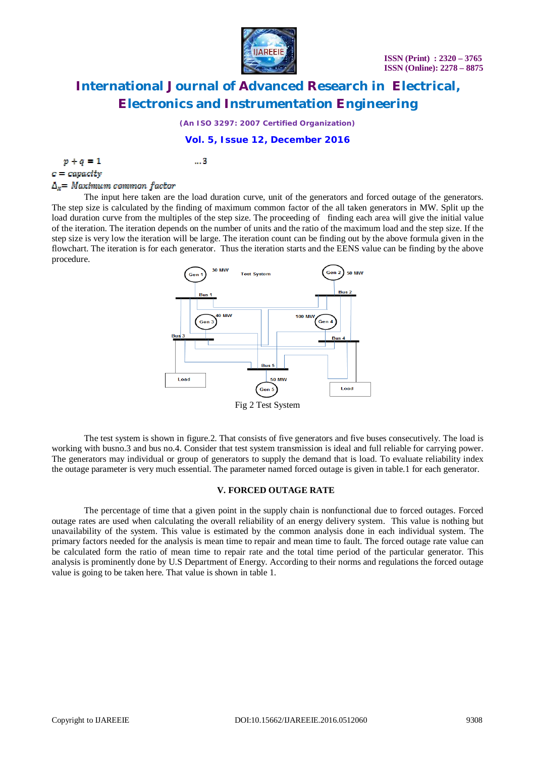

*(An ISO 3297: 2007 Certified Organization)*

### **Vol. 5, Issue 12, December 2016**

|--|--|

 $...3$ 

 $c = capacity$ 

# $\Delta_r$  = Maximum common factor

The input here taken are the load duration curve, unit of the generators and forced outage of the generators. The step size is calculated by the finding of maximum common factor of the all taken generators in MW. Split up the load duration curve from the multiples of the step size. The proceeding of finding each area will give the initial value of the iteration. The iteration depends on the number of units and the ratio of the maximum load and the step size. If the step size is very low the iteration will be large. The iteration count can be finding out by the above formula given in the flowchart. The iteration is for each generator. Thus the iteration starts and the EENS value can be finding by the above procedure.



Fig 2 Test System

The test system is shown in figure.2. That consists of five generators and five buses consecutively. The load is working with busno.3 and bus no.4. Consider that test system transmission is ideal and full reliable for carrying power. The generators may individual or group of generators to supply the demand that is load. To evaluate reliability index the outage parameter is very much essential. The parameter named forced outage is given in table.1 for each generator.

#### **V. FORCED OUTAGE RATE**

The percentage of time that a given point in the supply chain is nonfunctional due to forced outages. Forced outage rates are used when calculating the overall reliability of an energy delivery system. This value is nothing but unavailability of the system. This value is estimated by the common analysis done in each individual system. The primary factors needed for the analysis is mean time to repair and mean time to fault. The forced outage rate value can be calculated form the ratio of mean time to repair rate and the total time period of the particular generator. This analysis is prominently done by U.S Department of Energy. According to their norms and regulations the forced outage value is going to be taken here. That value is shown in table 1.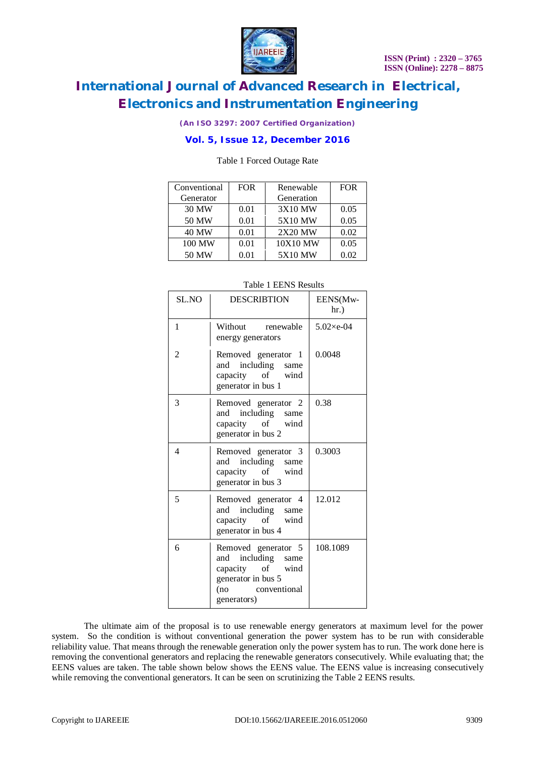

*(An ISO 3297: 2007 Certified Organization)*

### **Vol. 5, Issue 12, December 2016**

#### Table 1 Forced Outage Rate

| Conventional | <b>FOR</b> | Renewable      | <b>FOR</b> |
|--------------|------------|----------------|------------|
| Generator    |            | Generation     |            |
| 30 MW        | 0.01       | 3X10 MW        | 0.05       |
| 50 MW        | 0.01       | <b>5X10 MW</b> | 0.05       |
| <b>40 MW</b> | 0.01       | 2X20 MW        | 0.02       |
| 100 MW       | 0.01       | 10X10 MW       | 0.05       |
| 50 MW        | 0.01       | <b>5X10 MW</b> | 0.02       |

| SL.NO | <b>DESCRIBTION</b>                                                                                                        | EENS(Mw-<br>$hr.$ ) |
|-------|---------------------------------------------------------------------------------------------------------------------------|---------------------|
| 1     | Without renewable<br>energy generators                                                                                    | $5.02\times e-04$   |
| 2     | Removed generator 1<br>including same<br>and<br>capacity of wind<br>generator in bus 1                                    | 0.0048              |
| 3     | Removed generator 2<br>and including same<br>capacity of wind<br>generator in bus 2                                       | 0.38                |
| 4     | Removed generator 3<br>and including same<br>of wind<br>capacity<br>generator in bus 3                                    | 0.3003              |
| 5     | Removed generator 4<br>including same<br>and<br>capacity of wind<br>generator in bus 4                                    | 12.012              |
| 6     | Removed generator 5<br>and including same<br>capacity of wind<br>generator in bus 5<br>conventional<br>(no<br>generators) | 108.1089            |

#### Table 1 EENS Results

The ultimate aim of the proposal is to use renewable energy generators at maximum level for the power system. So the condition is without conventional generation the power system has to be run with considerable reliability value. That means through the renewable generation only the power system has to run. The work done here is removing the conventional generators and replacing the renewable generators consecutively. While evaluating that; the EENS values are taken. The table shown below shows the EENS value. The EENS value is increasing consecutively while removing the conventional generators. It can be seen on scrutinizing the Table 2 EENS results.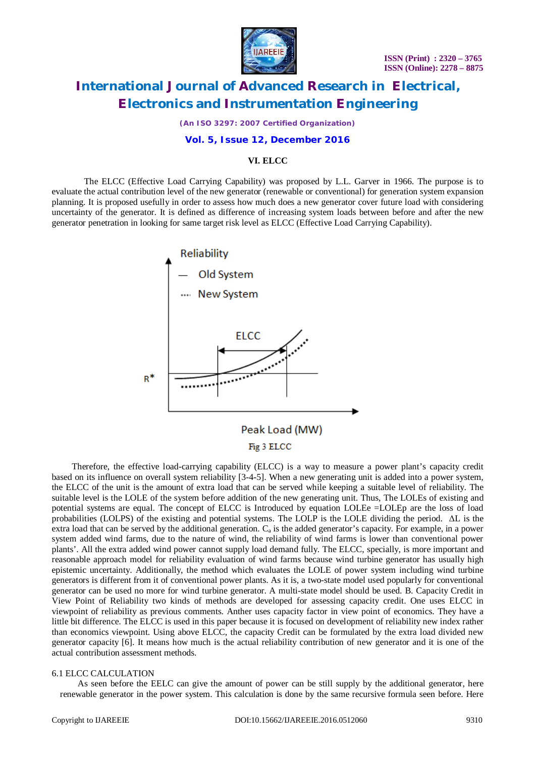

*(An ISO 3297: 2007 Certified Organization)*

#### **Vol. 5, Issue 12, December 2016**

#### **VI. ELCC**

The ELCC (Effective Load Carrying Capability) was proposed by L.L. Garver in 1966. The purpose is to evaluate the actual contribution level of the new generator (renewable or conventional) for generation system expansion planning. It is proposed usefully in order to assess how much does a new generator cover future load with considering uncertainty of the generator. It is defined as difference of increasing system loads between before and after the new generator penetration in looking for same target risk level as ELCC (Effective Load Carrying Capability).



 Therefore, the effective load-carrying capability (ELCC) is a way to measure a power plant's capacity credit based on its influence on overall system reliability [3-4-5]. When a new generating unit is added into a power system, the ELCC of the unit is the amount of extra load that can be served while keeping a suitable level of reliability. The suitable level is the LOLE of the system before addition of the new generating unit. Thus, The LOLEs of existing and potential systems are equal. The concept of ELCC is Introduced by equation LOLEe =LOLEp are the loss of load probabilities (LOLPS) of the existing and potential systems. The LOLP is the LOLE dividing the period. ΔL is the extra load that can be served by the additional generation.  $C_a$  is the added generator's capacity. For example, in a power system added wind farms, due to the nature of wind, the reliability of wind farms is lower than conventional power plants'. All the extra added wind power cannot supply load demand fully. The ELCC, specially, is more important and reasonable approach model for reliability evaluation of wind farms because wind turbine generator has usually high epistemic uncertainty. Additionally, the method which evaluates the LOLE of power system including wind turbine generators is different from it of conventional power plants. As it is, a two-state model used popularly for conventional generator can be used no more for wind turbine generator. A multi-state model should be used. B. Capacity Credit in View Point of Reliability two kinds of methods are developed for assessing capacity credit. One uses ELCC in viewpoint of reliability as previous comments. Anther uses capacity factor in view point of economics. They have a little bit difference. The ELCC is used in this paper because it is focused on development of reliability new index rather than economics viewpoint. Using above ELCC, the capacity Credit can be formulated by the extra load divided new generator capacity [6]. It means how much is the actual reliability contribution of new generator and it is one of the actual contribution assessment methods.

#### 6.1 ELCC CALCULATION

As seen before the EELC can give the amount of power can be still supply by the additional generator, here renewable generator in the power system. This calculation is done by the same recursive formula seen before. Here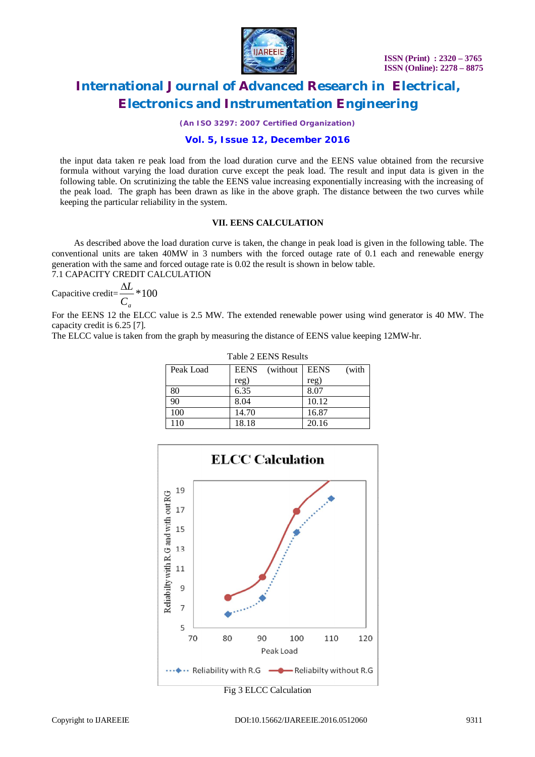

*(An ISO 3297: 2007 Certified Organization)*

### **Vol. 5, Issue 12, December 2016**

the input data taken re peak load from the load duration curve and the EENS value obtained from the recursive formula without varying the load duration curve except the peak load. The result and input data is given in the following table. On scrutinizing the table the EENS value increasing exponentially increasing with the increasing of the peak load. The graph has been drawn as like in the above graph. The distance between the two curves while keeping the particular reliability in the system.

### **VII. EENS CALCULATION**

 As described above the load duration curve is taken, the change in peak load is given in the following table. The conventional units are taken 40MW in 3 numbers with the forced outage rate of 0.1 each and renewable energy generation with the same and forced outage rate is 0.02 the result is shown in below table. 7.1 CAPACITY CREDIT CALCULATION

Capacitive credit=
$$
\frac{\Delta L}{C_a}
$$
\*100

For the EENS 12 the ELCC value is 2.5 MW. The extended renewable power using wind generator is 40 MW. The capacity credit is 6.25 [7].

The ELCC value is taken from the graph by measuring the distance of EENS value keeping 12MW-hr.

| Table 2 LLTD Results |             |           |             |       |  |  |  |  |
|----------------------|-------------|-----------|-------------|-------|--|--|--|--|
| Peak Load            | <b>EENS</b> | (without) | <b>EENS</b> | (with |  |  |  |  |
|                      | reg)        |           | reg)        |       |  |  |  |  |
| 80                   | 6.35        |           | 8.07        |       |  |  |  |  |
| 90                   | 8.04        |           | 10.12       |       |  |  |  |  |
| 100                  | 14.70       |           | 16.87       |       |  |  |  |  |
| 110                  | 18.18       |           | 20.16       |       |  |  |  |  |

Table 2 EENS Results